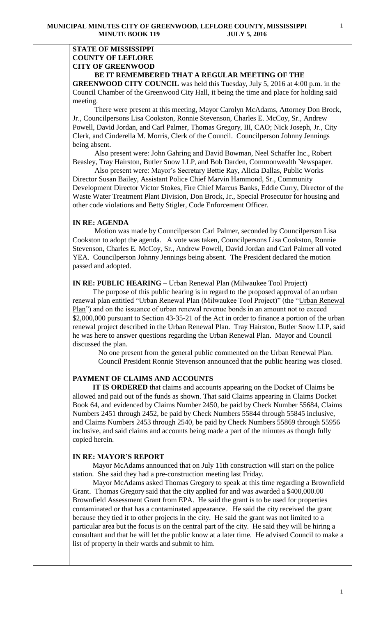# **STATE OF MISSISSIPPI COUNTY OF LEFLORE CITY OF GREENWOOD BE IT REMEMBERED THAT A REGULAR MEETING OF THE**

**GREENWOOD CITY COUNCIL** was held this Tuesday, July 5, 2016 at 4:00 p.m. in the Council Chamber of the Greenwood City Hall, it being the time and place for holding said meeting.

There were present at this meeting, Mayor Carolyn McAdams, Attorney Don Brock, Jr., Councilpersons Lisa Cookston, Ronnie Stevenson, Charles E. McCoy, Sr., Andrew Powell, David Jordan, and Carl Palmer, Thomas Gregory, III, CAO; Nick Joseph, Jr., City Clerk, and Cinderella M. Morris, Clerk of the Council. Councilperson Johnny Jennings being absent.

 Also present were: John Gahring and David Bowman, Neel Schaffer Inc., Robert Beasley, Tray Hairston, [Butler Snow LLP](http://www.butlersnow.com/), and Bob Darden, Commonwealth Newspaper.

 Also present were: Mayor's Secretary Bettie Ray, Alicia Dallas, Public Works Director Susan Bailey, Assistant Police Chief Marvin Hammond, Sr., Community Development Director Victor Stokes, Fire Chief Marcus Banks, Eddie Curry, Director of the Waste Water Treatment Plant Division, Don Brock, Jr., Special Prosecutor for housing and other code violations and Betty Stigler, Code Enforcement Officer.

### **IN RE: AGENDA**

 Motion was made by Councilperson Carl Palmer, seconded by Councilperson Lisa Cookston to adopt the agenda. A vote was taken, Councilpersons Lisa Cookston, Ronnie Stevenson, Charles E. McCoy, Sr., Andrew Powell, David Jordan and Carl Palmer all voted YEA. Councilperson Johnny Jennings being absent. The President declared the motion passed and adopted.

**IN RE: PUBLIC HEARING –** Urban Renewal Plan (Milwaukee Tool Project)

 The purpose of this public hearing is in regard to the proposed approval of an urban renewal plan entitled "Urban Renewal Plan (Milwaukee Tool Project)" (the "Urban Renewal Plan") and on the issuance of urban renewal revenue bonds in an amount not to exceed \$2,000,000 pursuant to Section 43-35-21 of the Act in order to finance a portion of the urban renewal project described in the Urban Renewal Plan. Tray Hairston, Butler Snow LLP, said he was here to answer questions regarding the Urban Renewal Plan. Mayor and Council discussed the plan.

 No one present from the general public commented on the Urban Renewal Plan. Council President Ronnie Stevenson announced that the public hearing was closed.

# **PAYMENT OF CLAIMS AND ACCOUNTS**

 **IT IS ORDERED** that claims and accounts appearing on the Docket of Claims be allowed and paid out of the funds as shown. That said Claims appearing in Claims Docket Book 64, and evidenced by Claims Number 2450, be paid by Check Number 55684, Claims Numbers 2451 through 2452, be paid by Check Numbers 55844 through 55845 inclusive, and Claims Numbers 2453 through 2540, be paid by Check Numbers 55869 through 55956 inclusive, and said claims and accounts being made a part of the minutes as though fully copied herein.

### **IN RE: MAYOR'S REPORT**

 Mayor McAdams announced that on July 11th construction will start on the police station. She said they had a pre-construction meeting last Friday.

 Mayor McAdams asked Thomas Gregory to speak at this time regarding a Brownfield Grant. Thomas Gregory said that the city applied for and was awarded a \$400,000.00 Brownfield Assessment Grant from EPA. He said the grant is to be used for properties contaminated or that has a contaminated appearance. He said the city received the grant because they tied it to other projects in the city. He said the grant was not limited to a particular area but the focus is on the central part of the city. He said they will be hiring a consultant and that he will let the public know at a later time. He advised Council to make a list of property in their wards and submit to him.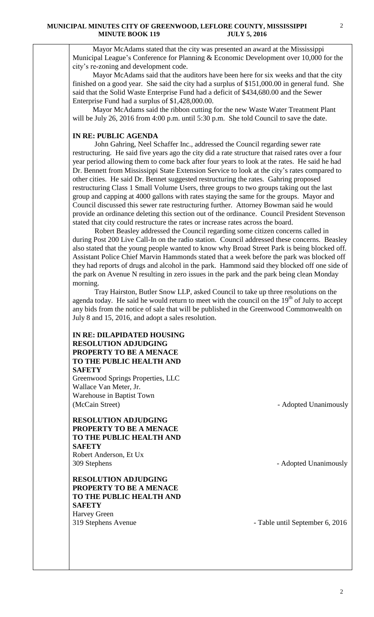Mayor McAdams stated that the city was presented an award at the Mississippi Municipal League's Conference for Planning & Economic Development over 10,000 for the city's re-zoning and development code.

 Mayor McAdams said that the auditors have been here for six weeks and that the city finished on a good year. She said the city had a surplus of \$151,000.00 in general fund. She said that the Solid Waste Enterprise Fund had a deficit of \$434,680.00 and the Sewer Enterprise Fund had a surplus of \$1,428,000.00.

 Mayor McAdams said the ribbon cutting for the new Waste Water Treatment Plant will be July 26, 2016 from 4:00 p.m. until 5:30 p.m. She told Council to save the date.

# **IN RE: PUBLIC AGENDA**

 John Gahring, Neel Schaffer Inc., addressed the Council regarding sewer rate restructuring. He said five years ago the city did a rate structure that raised rates over a four year period allowing them to come back after four years to look at the rates. He said he had Dr. Bennett from Mississippi State Extension Service to look at the city's rates compared to other cities. He said Dr. Bennet suggested restructuring the rates. Gahring proposed restructuring Class 1 Small Volume Users, three groups to two groups taking out the last group and capping at 4000 gallons with rates staying the same for the groups. Mayor and Council discussed this sewer rate restructuring further. Attorney Bowman said he would provide an ordinance deleting this section out of the ordinance. Council President Stevenson stated that city could restructure the rates or increase rates across the board.

 Robert Beasley addressed the Council regarding some citizen concerns called in during Post 200 Live Call-In on the radio station. Council addressed these concerns. Beasley also stated that the young people wanted to know why Broad Street Park is being blocked off. Assistant Police Chief Marvin Hammonds stated that a week before the park was blocked off they had reports of drugs and alcohol in the park. Hammond said they blocked off one side of the park on Avenue N resulting in zero issues in the park and the park being clean Monday morning.

 Tray Hairston, Butler Snow LLP, asked Council to take up three resolutions on the agenda today. He said he would return to meet with the council on the  $19<sup>th</sup>$  of July to accept any bids from the notice of sale that will be published in the Greenwood Commonwealth on July 8 and 15, 2016, and adopt a sales resolution.

# **IN RE: DILAPIDATED HOUSING RESOLUTION ADJUDGING PROPERTY TO BE A MENACE TO THE PUBLIC HEALTH AND SAFETY**

Greenwood Springs Properties, LLC Wallace Van Meter, Jr. Warehouse in Baptist Town (McCain Street) - Adopted Unanimously

**RESOLUTION ADJUDGING PROPERTY TO BE A MENACE TO THE PUBLIC HEALTH AND SAFETY** Robert Anderson, Et Ux 309 Stephens - Adopted Unanimously

**RESOLUTION ADJUDGING PROPERTY TO BE A MENACE TO THE PUBLIC HEALTH AND SAFETY** Harvey Green 319 Stephens Avenue - Table until September 6, 2016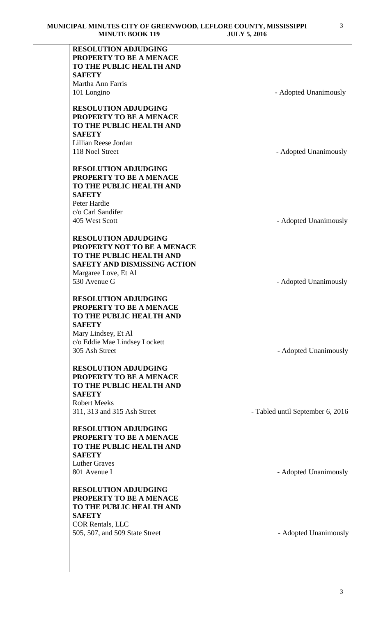| MINUTE DOOR 117                      | JULI J, ZUIU                     |
|--------------------------------------|----------------------------------|
| <b>RESOLUTION ADJUDGING</b>          |                                  |
| PROPERTY TO BE A MENACE              |                                  |
| TO THE PUBLIC HEALTH AND             |                                  |
| <b>SAFETY</b>                        |                                  |
| Martha Ann Farris                    |                                  |
| 101 Longino                          | - Adopted Unanimously            |
|                                      |                                  |
| <b>RESOLUTION ADJUDGING</b>          |                                  |
| PROPERTY TO BE A MENACE              |                                  |
| TO THE PUBLIC HEALTH AND             |                                  |
| <b>SAFETY</b>                        |                                  |
| Lillian Reese Jordan                 |                                  |
| 118 Noel Street                      | - Adopted Unanimously            |
|                                      |                                  |
| <b>RESOLUTION ADJUDGING</b>          |                                  |
| PROPERTY TO BE A MENACE              |                                  |
| TO THE PUBLIC HEALTH AND             |                                  |
| <b>SAFETY</b>                        |                                  |
| Peter Hardie                         |                                  |
| c/o Carl Sandifer                    |                                  |
|                                      |                                  |
| 405 West Scott                       | - Adopted Unanimously            |
| <b>RESOLUTION ADJUDGING</b>          |                                  |
| PROPERTY NOT TO BE A MENACE          |                                  |
| TO THE PUBLIC HEALTH AND             |                                  |
| <b>SAFETY AND DISMISSING ACTION</b>  |                                  |
|                                      |                                  |
| Margaree Love, Et Al<br>530 Avenue G |                                  |
|                                      | - Adopted Unanimously            |
| <b>RESOLUTION ADJUDGING</b>          |                                  |
| PROPERTY TO BE A MENACE              |                                  |
| TO THE PUBLIC HEALTH AND             |                                  |
| <b>SAFETY</b>                        |                                  |
|                                      |                                  |
| Mary Lindsey, Et Al                  |                                  |
| c/o Eddie Mae Lindsey Lockett        |                                  |
| 305 Ash Street                       | - Adopted Unanimously            |
| <b>RESOLUTION ADJUDGING</b>          |                                  |
| PROPERTY TO BE A MENACE              |                                  |
| TO THE PUBLIC HEALTH AND             |                                  |
| <b>SAFETY</b>                        |                                  |
|                                      |                                  |
| <b>Robert Meeks</b>                  |                                  |
| 311, 313 and 315 Ash Street          | - Tabled until September 6, 2016 |
| <b>RESOLUTION ADJUDGING</b>          |                                  |
| PROPERTY TO BE A MENACE              |                                  |
| TO THE PUBLIC HEALTH AND             |                                  |
|                                      |                                  |
| <b>SAFETY</b>                        |                                  |
| <b>Luther Graves</b>                 |                                  |
| 801 Avenue I                         | - Adopted Unanimously            |
| <b>RESOLUTION ADJUDGING</b>          |                                  |
| PROPERTY TO BE A MENACE              |                                  |
| TO THE PUBLIC HEALTH AND             |                                  |
|                                      |                                  |
| <b>SAFETY</b>                        |                                  |
| <b>COR Rentals, LLC</b>              |                                  |
| 505, 507, and 509 State Street       | - Adopted Unanimously            |
|                                      |                                  |
|                                      |                                  |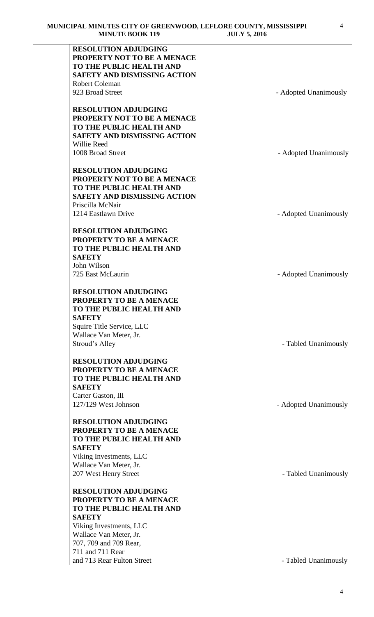| <b>RESOLUTION ADJUDGING</b>         |                       |
|-------------------------------------|-----------------------|
| PROPERTY NOT TO BE A MENACE         |                       |
| TO THE PUBLIC HEALTH AND            |                       |
| <b>SAFETY AND DISMISSING ACTION</b> |                       |
| Robert Coleman                      |                       |
|                                     |                       |
| 923 Broad Street                    | - Adopted Unanimously |
| <b>RESOLUTION ADJUDGING</b>         |                       |
| PROPERTY NOT TO BE A MENACE         |                       |
| TO THE PUBLIC HEALTH AND            |                       |
| <b>SAFETY AND DISMISSING ACTION</b> |                       |
| <b>Willie Reed</b>                  |                       |
| 1008 Broad Street                   | - Adopted Unanimously |
| <b>RESOLUTION ADJUDGING</b>         |                       |
| PROPERTY NOT TO BE A MENACE         |                       |
| TO THE PUBLIC HEALTH AND            |                       |
|                                     |                       |
| <b>SAFETY AND DISMISSING ACTION</b> |                       |
| Priscilla McNair                    |                       |
| 1214 Eastlawn Drive                 | - Adopted Unanimously |
| <b>RESOLUTION ADJUDGING</b>         |                       |
| PROPERTY TO BE A MENACE             |                       |
| TO THE PUBLIC HEALTH AND            |                       |
| <b>SAFETY</b>                       |                       |
| John Wilson                         |                       |
| 725 East McLaurin                   | - Adopted Unanimously |
| <b>RESOLUTION ADJUDGING</b>         |                       |
| PROPERTY TO BE A MENACE             |                       |
|                                     |                       |
| TO THE PUBLIC HEALTH AND            |                       |
| <b>SAFETY</b>                       |                       |
| Squire Title Service, LLC           |                       |
| Wallace Van Meter, Jr.              |                       |
| Stroud's Alley                      | - Tabled Unanimously  |
| <b>RESOLUTION ADJUDGING</b>         |                       |
| PROPERTY TO BE A MENACE             |                       |
| TO THE PUBLIC HEALTH AND            |                       |
| <b>SAFETY</b>                       |                       |
| Carter Gaston, III                  |                       |
| 127/129 West Johnson                | - Adopted Unanimously |
|                                     |                       |
| <b>RESOLUTION ADJUDGING</b>         |                       |
| PROPERTY TO BE A MENACE             |                       |
| TO THE PUBLIC HEALTH AND            |                       |
| <b>SAFETY</b>                       |                       |
| Viking Investments, LLC             |                       |
| Wallace Van Meter, Jr.              |                       |
| 207 West Henry Street               | - Tabled Unanimously  |
| <b>RESOLUTION ADJUDGING</b>         |                       |
| PROPERTY TO BE A MENACE             |                       |
| TO THE PUBLIC HEALTH AND            |                       |
| <b>SAFETY</b>                       |                       |
| Viking Investments, LLC             |                       |
| Wallace Van Meter, Jr.              |                       |
| 707, 709 and 709 Rear,              |                       |
| 711 and 711 Rear                    |                       |
| and 713 Rear Fulton Street          | - Tabled Unanimously  |
|                                     |                       |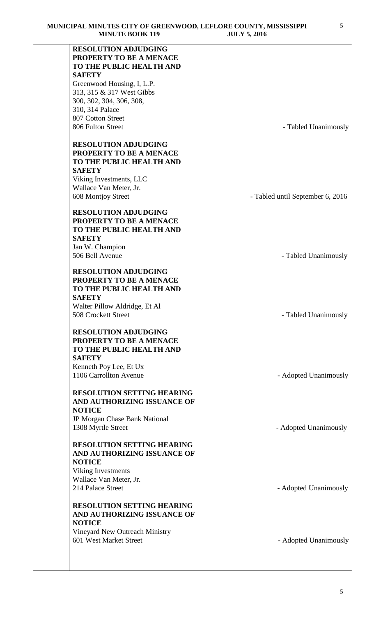| <b>RESOLUTION ADJUDGING</b>                              |                                  |
|----------------------------------------------------------|----------------------------------|
| PROPERTY TO BE A MENACE                                  |                                  |
| TO THE PUBLIC HEALTH AND                                 |                                  |
| <b>SAFETY</b>                                            |                                  |
| Greenwood Housing, I, L.P.                               |                                  |
| 313, 315 & 317 West Gibbs                                |                                  |
| 300, 302, 304, 306, 308,                                 |                                  |
| 310, 314 Palace                                          |                                  |
| 807 Cotton Street                                        |                                  |
| 806 Fulton Street                                        | - Tabled Unanimously             |
| <b>RESOLUTION ADJUDGING</b>                              |                                  |
| PROPERTY TO BE A MENACE                                  |                                  |
| TO THE PUBLIC HEALTH AND                                 |                                  |
| <b>SAFETY</b>                                            |                                  |
| Viking Investments, LLC                                  |                                  |
| Wallace Van Meter, Jr.                                   |                                  |
| 608 Montjoy Street                                       | - Tabled until September 6, 2016 |
| <b>RESOLUTION ADJUDGING</b>                              |                                  |
| PROPERTY TO BE A MENACE                                  |                                  |
| TO THE PUBLIC HEALTH AND                                 |                                  |
| <b>SAFETY</b>                                            |                                  |
| Jan W. Champion                                          |                                  |
| 506 Bell Avenue                                          | - Tabled Unanimously             |
|                                                          |                                  |
| <b>RESOLUTION ADJUDGING</b>                              |                                  |
| PROPERTY TO BE A MENACE                                  |                                  |
| TO THE PUBLIC HEALTH AND                                 |                                  |
| <b>SAFETY</b>                                            |                                  |
| Walter Pillow Aldridge, Et Al                            |                                  |
| 508 Crockett Street                                      | - Tabled Unanimously             |
|                                                          |                                  |
| <b>RESOLUTION ADJUDGING</b><br>PROPERTY TO BE A MENACE   |                                  |
| TO THE PUBLIC HEALTH AND                                 |                                  |
| <b>SAFETY</b>                                            |                                  |
| Kenneth Poy Lee, Et Ux                                   |                                  |
| 1106 Carrollton Avenue                                   | - Adopted Unanimously            |
|                                                          |                                  |
| <b>RESOLUTION SETTING HEARING</b>                        |                                  |
| AND AUTHORIZING ISSUANCE OF                              |                                  |
| <b>NOTICE</b>                                            |                                  |
| JP Morgan Chase Bank National                            |                                  |
| 1308 Myrtle Street                                       | - Adopted Unanimously            |
|                                                          |                                  |
| <b>RESOLUTION SETTING HEARING</b>                        |                                  |
| AND AUTHORIZING ISSUANCE OF                              |                                  |
| <b>NOTICE</b>                                            |                                  |
| Viking Investments                                       |                                  |
| Wallace Van Meter, Jr.                                   |                                  |
| 214 Palace Street                                        | - Adopted Unanimously            |
|                                                          |                                  |
| <b>RESOLUTION SETTING HEARING</b>                        |                                  |
| AND AUTHORIZING ISSUANCE OF                              |                                  |
| <b>NOTICE</b>                                            |                                  |
| Vineyard New Outreach Ministry<br>601 West Market Street |                                  |
|                                                          | - Adopted Unanimously            |
|                                                          |                                  |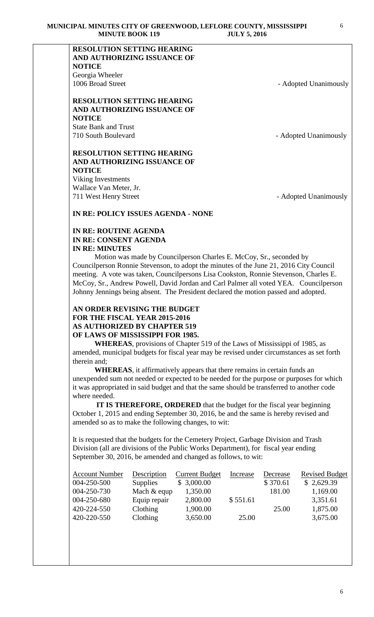# **RESOLUTION SETTING HEARING AND AUTHORIZING ISSUANCE OF NOTICE** Georgia Wheeler 1006 Broad Street - Adopted Unanimously

**RESOLUTION SETTING HEARING AND AUTHORIZING ISSUANCE OF NOTICE** State Bank and Trust

710 South Boulevard **- Adopted Unanimously** 

# **RESOLUTION SETTING HEARING AND AUTHORIZING ISSUANCE OF NOTICE**

Viking Investments Wallace Van Meter, Jr. 711 West Henry Street - Adopted Unanimously

# **IN RE: POLICY ISSUES AGENDA - NONE**

# **IN RE: ROUTINE AGENDA IN RE: CONSENT AGENDA IN RE: MINUTES**

 Motion was made by Councilperson Charles E. McCoy, Sr., seconded by Councilperson Ronnie Stevenson, to adopt the minutes of the June 21, 2016 City Council meeting. A vote was taken, Councilpersons Lisa Cookston, Ronnie Stevenson, Charles E. McCoy, Sr., Andrew Powell, David Jordan and Carl Palmer all voted YEA. Councilperson Johnny Jennings being absent. The President declared the motion passed and adopted.

# **AN ORDER REVISING THE BUDGET FOR THE FISCAL YEAR 2015-2016 AS AUTHORIZED BY CHAPTER 519 OF LAWS OF MISSISSIPPI FOR 1985.**

**WHEREAS**, provisions of Chapter 519 of the Laws of Mississippi of 1985, as amended, municipal budgets for fiscal year may be revised under circumstances as set forth therein and;

**WHEREAS**, it affirmatively appears that there remains in certain funds an unexpended sum not needed or expected to be needed for the purpose or purposes for which it was appropriated in said budget and that the same should be transferred to another code where needed.

 **IT IS THEREFORE, ORDERED** that the budget for the fiscal year beginning October 1, 2015 and ending September 30, 2016, be and the same is hereby revised and amended so as to make the following changes, to wit:

It is requested that the budgets for the Cemetery Project, Garbage Division and Trash Division (all are divisions of the Public Works Department), for fiscal year ending September 30, 2016, be amended and changed as follows, to wit:

| <b>Account Number</b> | Description     | <b>Current Budget</b> | <b>Increase</b> | Decrease | <b>Revised Budget</b> |
|-----------------------|-----------------|-----------------------|-----------------|----------|-----------------------|
| 004-250-500           | <b>Supplies</b> | \$3,000.00            |                 | \$370.61 | \$2,629.39            |
| 004-250-730           | Mach & equp     | 1,350.00              |                 | 181.00   | 1,169.00              |
| 004-250-680           | Equip repair    | 2,800.00              | \$551.61        |          | 3,351.61              |
| 420-224-550           | Clothing        | 1,900.00              |                 | 25.00    | 1,875.00              |
| 420-220-550           | <b>Clothing</b> | 3,650.00              | 25.00           |          | 3,675.00              |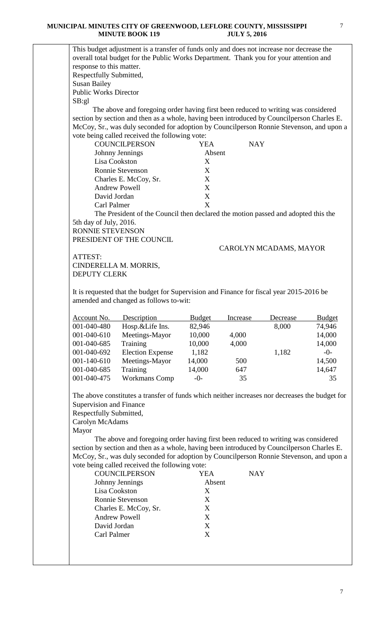#### **MUNICIPAL MINUTES CITY OF GREENWOOD, LEFLORE COUNTY, MISSISSIPPI MINUTE BOOK 119 JULY 5, 2016**

This budget adjustment is a transfer of funds only and does not increase nor decrease the overall total budget for the Public Works Department. Thank you for your attention and The above and foregoing order having first been reduced to writing was considered section by section and then as a whole, having been introduced by Councilperson Charles E. McCoy, Sr., was duly seconded for adoption by Councilperson Ronnie Stevenson, and upon a

| vote being called received the following vote: |            |
|------------------------------------------------|------------|
| <b>YEA</b>                                     | <b>NAY</b> |
| Absent                                         |            |
| X                                              |            |
| X                                              |            |
| X                                              |            |
| X                                              |            |
| X                                              |            |
| X                                              |            |
|                                                |            |

The President of the Council then declared the motion passed and adopted this the 5th day of July, 2016.

RONNIE STEVENSON PRESIDENT OF THE COUNCIL

CAROLYN MCADAMS, MAYOR

ATTEST: CINDERELLA M. MORRIS, DEPUTY CLERK

response to this matter. Respectfully Submitted,

Public Works Director

Susan Bailey

SB:gl

It is requested that the budget for Supervision and Finance for fiscal year 2015-2016 be amended and changed as follows to-wit:

| Account No.       | Description             | <b>Budget</b> | Increase | Decrease | <b>Budget</b> |
|-------------------|-------------------------|---------------|----------|----------|---------------|
| 001-040-480       | Hosp.&Life Ins.         | 82,946        |          | 8,000    | 74,946        |
| 001-040-610       | Meetings-Mayor          | 10,000        | 4,000    |          | 14,000        |
| 001-040-685       | Training                | 10,000        | 4,000    |          | 14,000        |
| 001-040-692       | <b>Election Expense</b> | 1,182         |          | 1,182    | $-0-$         |
| $001 - 140 - 610$ | Meetings-Mayor          | 14,000        | 500      |          | 14,500        |
| 001-040-685       | Training                | 14,000        | 647      |          | 14,647        |
| 001-040-475       | <b>Workmans Comp</b>    | $-0$ -        | 35       |          | 35            |

The above constitutes a transfer of funds which neither increases nor decreases the budget for Supervision and Finance

Respectfully Submitted,

Carolyn McAdams

Mayor

 The above and foregoing order having first been reduced to writing was considered section by section and then as a whole, having been introduced by Councilperson Charles E. McCoy, Sr., was duly seconded for adoption by Councilperson Ronnie Stevenson, and upon a vote being called received the following vote:

| <b>COUNCILPERSON</b>  | YEA    | NAY |
|-----------------------|--------|-----|
| Johnny Jennings       | Absent |     |
| Lisa Cookston         | X      |     |
| Ronnie Stevenson      | X      |     |
| Charles E. McCoy, Sr. | X      |     |
| <b>Andrew Powell</b>  | X      |     |
| David Jordan          | X      |     |
| Carl Palmer           | X      |     |
|                       |        |     |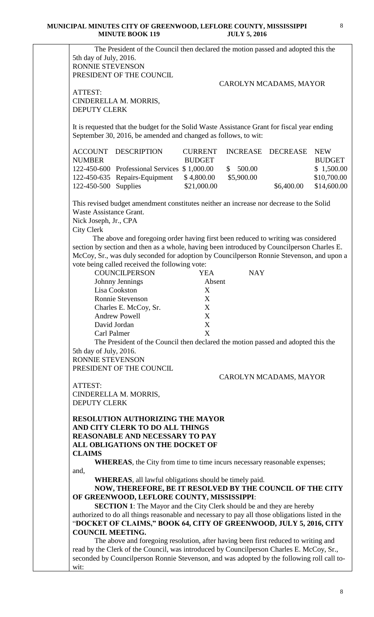|                                                                                                                                           | The President of the Council then declared the motion passed and adopted this the                                                                                                                                                                                                                                                                                                                                                                                                                                                                                   |                                                    |            |                        |               |
|-------------------------------------------------------------------------------------------------------------------------------------------|---------------------------------------------------------------------------------------------------------------------------------------------------------------------------------------------------------------------------------------------------------------------------------------------------------------------------------------------------------------------------------------------------------------------------------------------------------------------------------------------------------------------------------------------------------------------|----------------------------------------------------|------------|------------------------|---------------|
| 5th day of July, 2016.                                                                                                                    |                                                                                                                                                                                                                                                                                                                                                                                                                                                                                                                                                                     |                                                    |            |                        |               |
| <b>RONNIE STEVENSON</b>                                                                                                                   |                                                                                                                                                                                                                                                                                                                                                                                                                                                                                                                                                                     |                                                    |            |                        |               |
|                                                                                                                                           | PRESIDENT OF THE COUNCIL                                                                                                                                                                                                                                                                                                                                                                                                                                                                                                                                            |                                                    |            |                        |               |
|                                                                                                                                           |                                                                                                                                                                                                                                                                                                                                                                                                                                                                                                                                                                     |                                                    |            | CAROLYN MCADAMS, MAYOR |               |
| ATTEST:                                                                                                                                   |                                                                                                                                                                                                                                                                                                                                                                                                                                                                                                                                                                     |                                                    |            |                        |               |
|                                                                                                                                           | CINDERELLA M. MORRIS,                                                                                                                                                                                                                                                                                                                                                                                                                                                                                                                                               |                                                    |            |                        |               |
| DEPUTY CLERK                                                                                                                              |                                                                                                                                                                                                                                                                                                                                                                                                                                                                                                                                                                     |                                                    |            |                        |               |
|                                                                                                                                           | It is requested that the budget for the Solid Waste Assistance Grant for fiscal year ending<br>September 30, 2016, be amended and changed as follows, to wit:                                                                                                                                                                                                                                                                                                                                                                                                       |                                                    |            |                        |               |
| ACCOUNT                                                                                                                                   | <b>DESCRIPTION</b>                                                                                                                                                                                                                                                                                                                                                                                                                                                                                                                                                  | <b>CURRENT</b>                                     |            | INCREASE DECREASE      | <b>NEW</b>    |
| <b>NUMBER</b>                                                                                                                             |                                                                                                                                                                                                                                                                                                                                                                                                                                                                                                                                                                     | <b>BUDGET</b>                                      |            |                        | <b>BUDGET</b> |
|                                                                                                                                           | 122-450-600 Professional Services \$1,000.00                                                                                                                                                                                                                                                                                                                                                                                                                                                                                                                        |                                                    | \$500.00   |                        | \$1,500.00    |
|                                                                                                                                           | 122-450-635 Repairs-Equipment                                                                                                                                                                                                                                                                                                                                                                                                                                                                                                                                       | \$4,800.00                                         | \$5,900.00 |                        | \$10,700.00   |
| 122-450-500 Supplies                                                                                                                      |                                                                                                                                                                                                                                                                                                                                                                                                                                                                                                                                                                     | \$21,000.00                                        |            | \$6,400.00             | \$14,600.00   |
| Waste Assistance Grant.<br>Nick Joseph, Jr., CPA<br><b>City Clerk</b><br>Carl Palmer<br>5th day of July, 2016.<br><b>RONNIE STEVENSON</b> | The above and foregoing order having first been reduced to writing was considered<br>section by section and then as a whole, having been introduced by Councilperson Charles E.<br>McCoy, Sr., was duly seconded for adoption by Councilperson Ronnie Stevenson, and upon a<br>vote being called received the following vote:<br><b>COUNCILPERSON</b><br>Johnny Jennings<br>Lisa Cookston<br>Ronnie Stevenson<br>Charles E. McCoy, Sr.<br><b>Andrew Powell</b><br>David Jordan<br>The President of the Council then declared the motion passed and adopted this the | <b>YEA</b><br>Absent<br>X<br>X<br>X<br>X<br>X<br>X | <b>NAY</b> |                        |               |
|                                                                                                                                           | PRESIDENT OF THE COUNCIL                                                                                                                                                                                                                                                                                                                                                                                                                                                                                                                                            |                                                    |            |                        |               |
|                                                                                                                                           |                                                                                                                                                                                                                                                                                                                                                                                                                                                                                                                                                                     |                                                    |            | CAROLYN MCADAMS, MAYOR |               |
| ATTEST:                                                                                                                                   |                                                                                                                                                                                                                                                                                                                                                                                                                                                                                                                                                                     |                                                    |            |                        |               |
|                                                                                                                                           | CINDERELLA M. MORRIS,                                                                                                                                                                                                                                                                                                                                                                                                                                                                                                                                               |                                                    |            |                        |               |
| <b>DEPUTY CLERK</b>                                                                                                                       |                                                                                                                                                                                                                                                                                                                                                                                                                                                                                                                                                                     |                                                    |            |                        |               |
|                                                                                                                                           | <b>RESOLUTION AUTHORIZING THE MAYOR</b><br>AND CITY CLERK TO DO ALL THINGS<br><b>REASONABLE AND NECESSARY TO PAY</b><br>ALL OBLIGATIONS ON THE DOCKET OF                                                                                                                                                                                                                                                                                                                                                                                                            |                                                    |            |                        |               |
| <b>CLAIMS</b>                                                                                                                             |                                                                                                                                                                                                                                                                                                                                                                                                                                                                                                                                                                     |                                                    |            |                        |               |
|                                                                                                                                           | <b>WHEREAS</b> , the City from time to time incurs necessary reasonable expenses;                                                                                                                                                                                                                                                                                                                                                                                                                                                                                   |                                                    |            |                        |               |
| and,                                                                                                                                      |                                                                                                                                                                                                                                                                                                                                                                                                                                                                                                                                                                     |                                                    |            |                        |               |
|                                                                                                                                           | <b>WHEREAS</b> , all lawful obligations should be timely paid.<br>NOW, THEREFORE, BE IT RESOLVED BY THE COUNCIL OF THE CITY                                                                                                                                                                                                                                                                                                                                                                                                                                         |                                                    |            |                        |               |
|                                                                                                                                           | OF GREENWOOD, LEFLORE COUNTY, MISSISSIPPI:                                                                                                                                                                                                                                                                                                                                                                                                                                                                                                                          |                                                    |            |                        |               |
|                                                                                                                                           | <b>SECTION 1:</b> The Mayor and the City Clerk should be and they are hereby                                                                                                                                                                                                                                                                                                                                                                                                                                                                                        |                                                    |            |                        |               |
|                                                                                                                                           | authorized to do all things reasonable and necessary to pay all those obligations listed in the                                                                                                                                                                                                                                                                                                                                                                                                                                                                     |                                                    |            |                        |               |
|                                                                                                                                           | "DOCKET OF CLAIMS," BOOK 64, CITY OF GREENWOOD, JULY 5, 2016, CITY                                                                                                                                                                                                                                                                                                                                                                                                                                                                                                  |                                                    |            |                        |               |
| <b>COUNCIL MEETING.</b>                                                                                                                   |                                                                                                                                                                                                                                                                                                                                                                                                                                                                                                                                                                     |                                                    |            |                        |               |
|                                                                                                                                           | The above and foregoing resolution, after having been first reduced to writing and                                                                                                                                                                                                                                                                                                                                                                                                                                                                                  |                                                    |            |                        |               |

seconded by Councilperson Ronnie Stevenson, and was adopted by the following roll call towit: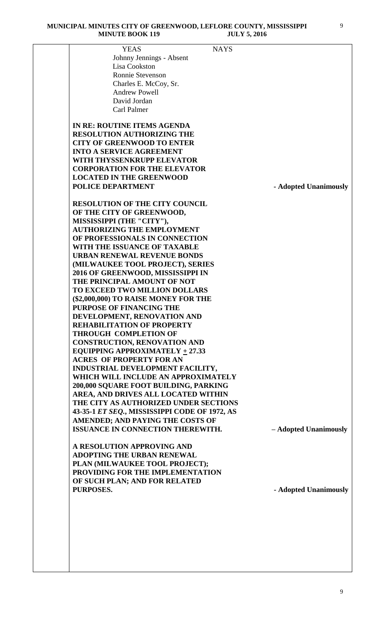| <b>YEAS</b>                                                            | <b>NAYS</b>           |
|------------------------------------------------------------------------|-----------------------|
| Johnny Jennings - Absent                                               |                       |
| Lisa Cookston                                                          |                       |
| <b>Ronnie Stevenson</b>                                                |                       |
| Charles E. McCoy, Sr.                                                  |                       |
| <b>Andrew Powell</b>                                                   |                       |
| David Jordan                                                           |                       |
| <b>Carl Palmer</b>                                                     |                       |
|                                                                        |                       |
| IN RE: ROUTINE ITEMS AGENDA                                            |                       |
| <b>RESOLUTION AUTHORIZING THE</b>                                      |                       |
| <b>CITY OF GREENWOOD TO ENTER</b>                                      |                       |
| <b>INTO A SERVICE AGREEMENT</b>                                        |                       |
| WITH THYSSENKRUPP ELEVATOR                                             |                       |
| <b>CORPORATION FOR THE ELEVATOR</b>                                    |                       |
| <b>LOCATED IN THE GREENWOOD</b>                                        |                       |
| <b>POLICE DEPARTMENT</b>                                               | - Adopted Unanimously |
|                                                                        |                       |
| <b>RESOLUTION OF THE CITY COUNCIL</b>                                  |                       |
| OF THE CITY OF GREENWOOD,                                              |                       |
| MISSISSIPPI (THE "CITY"),                                              |                       |
| <b>AUTHORIZING THE EMPLOYMENT</b>                                      |                       |
| OF PROFESSIONALS IN CONNECTION                                         |                       |
| WITH THE ISSUANCE OF TAXABLE                                           |                       |
| <b>URBAN RENEWAL REVENUE BONDS</b>                                     |                       |
| (MILWAUKEE TOOL PROJECT), SERIES                                       |                       |
| 2016 OF GREENWOOD, MISSISSIPPI IN                                      |                       |
| THE PRINCIPAL AMOUNT OF NOT                                            |                       |
| TO EXCEED TWO MILLION DOLLARS                                          |                       |
| (\$2,000,000) TO RAISE MONEY FOR THE                                   |                       |
| PURPOSE OF FINANCING THE                                               |                       |
| DEVELOPMENT, RENOVATION AND                                            |                       |
| <b>REHABILITATION OF PROPERTY</b>                                      |                       |
| <b>THROUGH COMPLETION OF</b>                                           |                       |
|                                                                        |                       |
| <b>CONSTRUCTION, RENOVATION AND</b>                                    |                       |
| EQUIPPING APPROXIMATELY $\pm$ 27.33<br><b>ACRES OF PROPERTY FOR AN</b> |                       |
|                                                                        |                       |
| INDUSTRIAL DEVELOPMENT FACILITY,                                       |                       |
| WHICH WILL INCLUDE AN APPROXIMATELY                                    |                       |
| 200,000 SQUARE FOOT BUILDING, PARKING                                  |                       |
| AREA, AND DRIVES ALL LOCATED WITHIN                                    |                       |
| THE CITY AS AUTHORIZED UNDER SECTIONS                                  |                       |
| 43-35-1 ET SEQ., MISSISSIPPI CODE OF 1972, AS                          |                       |
| AMENDED; AND PAYING THE COSTS OF                                       |                       |
| <b>ISSUANCE IN CONNECTION THEREWITH.</b>                               | - Adopted Unanimously |
|                                                                        |                       |

**A RESOLUTION APPROVING AND ADOPTING THE URBAN RENEWAL PLAN (MILWAUKEE TOOL PROJECT); PROVIDING FOR THE IMPLEMENTATION OF SUCH PLAN; AND FOR RELATED PURPOSES. - Adopted Unanimously**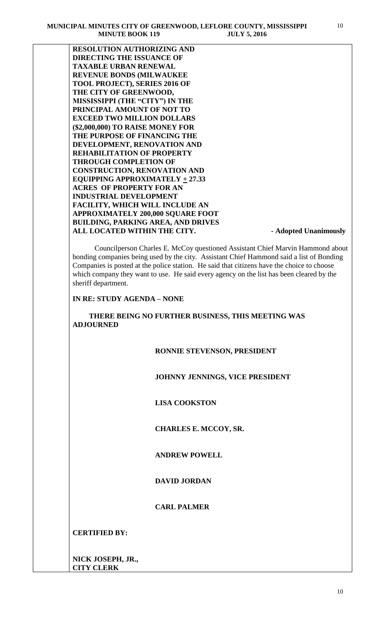**RESOLUTION AUTHORIZING AND DIRECTING THE ISSUANCE OF TAXABLE URBAN RENEWAL REVENUE BONDS (MILWAUKEE TOOL PROJECT), SERIES 2016 OF THE CITY OF GREENWOOD, MISSISSIPPI (THE "CITY") IN THE PRINCIPAL AMOUNT OF NOT TO EXCEED TWO MILLION DOLLARS (\$2,000,000) TO RAISE MONEY FOR THE PURPOSE OF FINANCING THE DEVELOPMENT, RENOVATION AND REHABILITATION OF PROPERTY THROUGH COMPLETION OF CONSTRUCTION, RENOVATION AND EQUIPPING APPROXIMATELY**  $+ 27.33$ **ACRES OF PROPERTY FOR AN INDUSTRIAL DEVELOPMENT FACILITY, WHICH WILL INCLUDE AN APPROXIMATELY 200,000 SQUARE FOOT BUILDING, PARKING AREA, AND DRIVES**  ALL LOCATED WITHIN THE CITY. **A Adopted Unanimously** 

 Councilperson Charles E. McCoy questioned Assistant Chief Marvin Hammond about bonding companies being used by the city. Assistant Chief Hammond said a list of Bonding Companies is posted at the police station. He said that citizens have the choice to choose which company they want to use. He said every agency on the list has been cleared by the sheriff department.

# **IN RE: STUDY AGENDA – NONE**

 **THERE BEING NO FURTHER BUSINESS, THIS MEETING WAS ADJOURNED** 

### **RONNIE STEVENSON, PRESIDENT**

### **JOHNNY JENNINGS, VICE PRESIDENT**

 **LISA COOKSTON**

### **CHARLES E. MCCOY, SR.**

## **ANDREW POWELL**

# **DAVID JORDAN**

# **CARL PALMER**

**CERTIFIED BY:**

**NICK JOSEPH, JR., CITY CLERK**